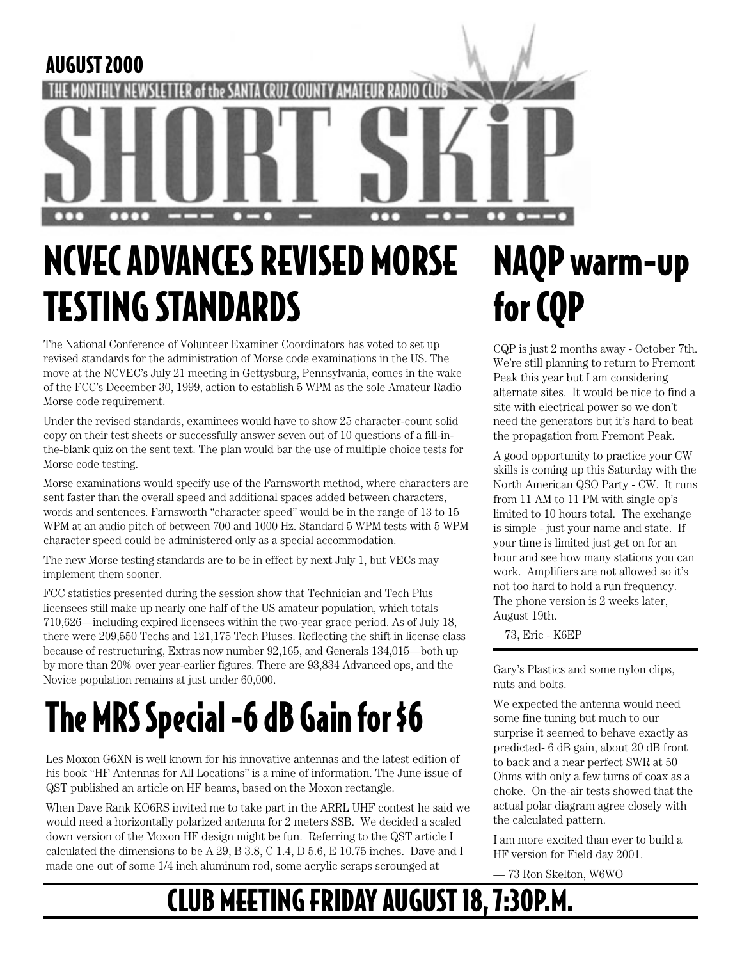

# NCVEC ADVANCES REVISED MORSE TESTING STANDARDS

The National Conference of Volunteer Examiner Coordinators has voted to set up revised standards for the administration of Morse code examinations in the US. The move at the NCVEC's July 21 meeting in Gettysburg, Pennsylvania, comes in the wake of the FCC's December 30, 1999, action to establish 5 WPM as the sole Amateur Radio Morse code requirement.

Under the revised standards, examinees would have to show 25 character-count solid copy on their test sheets or successfully answer seven out of 10 questions of a fill-inthe-blank quiz on the sent text. The plan would bar the use of multiple choice tests for Morse code testing.

Morse examinations would specify use of the Farnsworth method, where characters are sent faster than the overall speed and additional spaces added between characters, words and sentences. Farnsworth "character speed" would be in the range of 13 to 15 WPM at an audio pitch of between 700 and 1000 Hz. Standard 5 WPM tests with 5 WPM character speed could be administered only as a special accommodation.

The new Morse testing standards are to be in effect by next July 1, but VECs may implement them sooner.

FCC statistics presented during the session show that Technician and Tech Plus licensees still make up nearly one half of the US amateur population, which totals 710,626—including expired licensees within the two-year grace period. As of July 18, there were 209,550 Techs and 121,175 Tech Pluses. Reflecting the shift in license class because of restructuring, Extras now number 92,165, and Generals 134,015—both up by more than 20% over year-earlier figures. There are 93,834 Advanced ops, and the by more than 20% over year-earlier figures. There are 93,834 Advanced ops, and the Gary's Plastics and some nylon clips,<br>Novice population remains at just under 60,000.

# The MRS Special -6 dB Gain for \$6

Les Moxon G6XN is well known for his innovative antennas and the latest edition of his book "HF Antennas for All Locations" is a mine of information. The June issue of QST published an article on HF beams, based on the Moxon rectangle.

When Dave Rank KO6RS invited me to take part in the ARRL UHF contest he said we would need a horizontally polarized antenna for 2 meters SSB. We decided a scaled down version of the Moxon HF design might be fun. Referring to the QST article I calculated the dimensions to be A 29, B 3.8, C 1.4, D 5.6, E 10.75 inches. Dave and I made one out of some 1/4 inch aluminum rod, some acrylic scraps scrounged at

# NAQP warm-up for CQP

CQP is just 2 months away - October 7th. We're still planning to return to Fremont Peak this year but I am considering alternate sites. It would be nice to find a site with electrical power so we don't need the generators but it's hard to beat the propagation from Fremont Peak.

A good opportunity to practice your CW skills is coming up this Saturday with the North American QSO Party - CW. It runs from 11 AM to 11 PM with single op's limited to 10 hours total. The exchange is simple - just your name and state. If your time is limited just get on for an hour and see how many stations you can work. Amplifiers are not allowed so it's not too hard to hold a run frequency. The phone version is 2 weeks later, August 19th.

—73, Eric - K6EP

nuts and bolts.

We expected the antenna would need some fine tuning but much to our surprise it seemed to behave exactly as predicted- 6 dB gain, about 20 dB front to back and a near perfect SWR at 50 Ohms with only a few turns of coax as a choke. On-the-air tests showed that the actual polar diagram agree closely with the calculated pattern.

I am more excited than ever to build a HF version for Field day 2001.

— 73 Ron Skelton, W6WO

## CLUB MEETING FRIDAY AUGUST 18, 7:30P.M.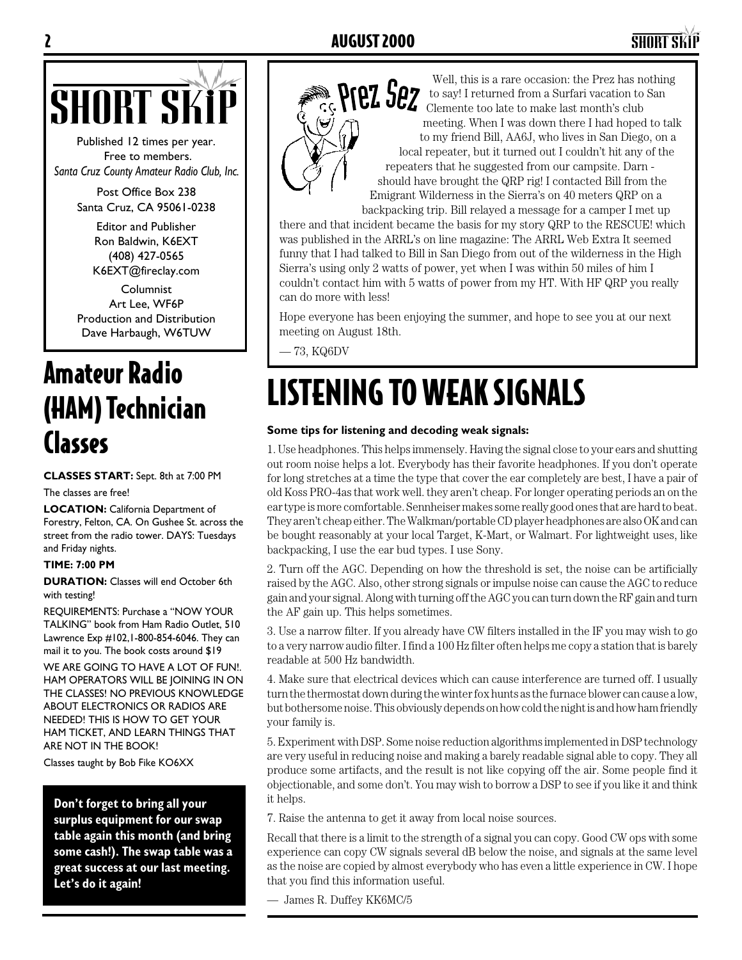

Published 12 times per year. Free to members. *Santa Cruz County Amateur Radio Club, Inc.*

> Post Office Box 238 Santa Cruz, CA 95061-0238

> > Editor and Publisher Ron Baldwin, K6EXT (408) 427-0565 K6EXT@fireclay.com

Columnist Art Lee, WF6P Production and Distribution Dave Harbaugh, W6TUW

## Amateur Radio (HAM) Technician Classes

**CLASSES START:** Sept. 8th at 7:00 PM

The classes are free!

**LOCATION:** California Department of Forestry, Felton, CA. On Gushee St. across the street from the radio tower. DAYS: Tuesdays and Friday nights.

### **TIME: 7:00 PM**

**DURATION:** Classes will end October 6th with testing!

REQUIREMENTS: Purchase a "NOW YOUR TALKING" book from Ham Radio Outlet, 510 Lawrence Exp #102,1-800-854-6046. They can mail it to you. The book costs around \$19

WE ARE GOING TO HAVE A LOT OF FUN!. HAM OPERATORS WILL BE JOINING IN ON THE CLASSES! NO PREVIOUS KNOWLEDGE ABOUT ELECTRONICS OR RADIOS ARE NEEDED! THIS IS HOW TO GET YOUR HAM TICKET, AND LEARN THINGS THAT ARE NOT IN THE BOOK!

Classes taught by Bob Fike KO6XX

**Don't forget to bring all your surplus equipment for our swap table again this month (and bring some cash!). The swap table was a great success at our last meeting. Let's do it again!**



Well, this is a rare occasion: the Prez has nothing to say! I returned from a Surfari vacation to San **PFEZ SEZ** to say! I returned from a Surfari vacation to meeting. When I was down there I had hoped to talk to my friend Bill, AA6J, who lives in San Diego, on a local repeater, but it turned out I couldn't hit any of the repeaters that he suggested from our campsite. Darn should have brought the QRP rig! I contacted Bill from the Emigrant Wilderness in the Sierra's on 40 meters QRP on a backpacking trip. Bill relayed a message for a camper I met up

there and that incident became the basis for my story QRP to the RESCUE! which was published in the ARRL's on line magazine: The ARRL Web Extra It seemed funny that I had talked to Bill in San Diego from out of the wilderness in the High Sierra's using only 2 watts of power, yet when I was within 50 miles of him I couldn't contact him with 5 watts of power from my HT. With HF QRP you really can do more with less!

Hope everyone has been enjoying the summer, and hope to see you at our next meeting on August 18th.

— 73, KQ6DV

## LISTENING TO WEAK SIGNALS

### **Some tips for listening and decoding weak signals:**

1. Use headphones. This helps immensely. Having the signal close to your ears and shutting out room noise helps a lot. Everybody has their favorite headphones. If you don't operate for long stretches at a time the type that cover the ear completely are best, I have a pair of old Koss PRO-4as that work well. they aren't cheap. For longer operating periods an on the ear type is more comfortable. Sennheiser makes some really good ones that are hard to beat. They aren't cheap either. The Walkman/portable CD player headphones are also OK and can be bought reasonably at your local Target, K-Mart, or Walmart. For lightweight uses, like backpacking, I use the ear bud types. I use Sony.

2. Turn off the AGC. Depending on how the threshold is set, the noise can be artificially raised by the AGC. Also, other strong signals or impulse noise can cause the AGC to reduce gain and your signal. Along with turning off the AGC you can turn down the RF gain and turn the AF gain up. This helps sometimes.

3. Use a narrow filter. If you already have CW filters installed in the IF you may wish to go to a very narrow audio filter. I find a 100 Hz filter often helps me copy a station that is barely readable at 500 Hz bandwidth.

4. Make sure that electrical devices which can cause interference are turned off. I usually turn the thermostat down during the winter fox hunts as the furnace blower can cause a low, but bothersome noise. This obviously depends on how cold the night is and how ham friendly your family is.

5. Experiment with DSP. Some noise reduction algorithms implemented in DSP technology are very useful in reducing noise and making a barely readable signal able to copy. They all produce some artifacts, and the result is not like copying off the air. Some people find it objectionable, and some don't. You may wish to borrow a DSP to see if you like it and think it helps.

7. Raise the antenna to get it away from local noise sources.

Recall that there is a limit to the strength of a signal you can copy. Good CW ops with some experience can copy CW signals several dB below the noise, and signals at the same level as the noise are copied by almost everybody who has even a little experience in CW. I hope that you find this information useful.

— James R. Duffey KK6MC/5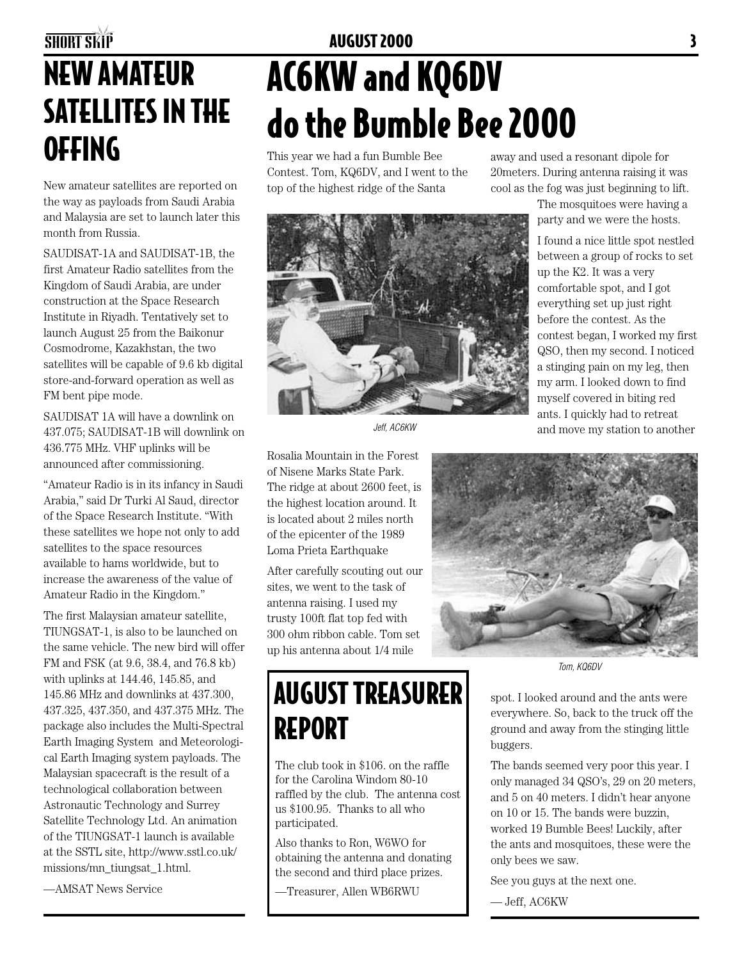## SHORT SKIP **AUGUST 2000 3** NEW AMATEUR SATELLITES IN THE OFFING

New amateur satellites are reported on the way as payloads from Saudi Arabia and Malaysia are set to launch later this month from Russia.

SAUDISAT-1A and SAUDISAT-1B, the first Amateur Radio satellites from the Kingdom of Saudi Arabia, are under construction at the Space Research Institute in Riyadh. Tentatively set to launch August 25 from the Baikonur Cosmodrome, Kazakhstan, the two satellites will be capable of 9.6 kb digital store-and-forward operation as well as FM bent pipe mode.

SAUDISAT 1A will have a downlink on 437.075; SAUDISAT-1B will downlink on 436.775 MHz. VHF uplinks will be announced after commissioning.

"Amateur Radio is in its infancy in Saudi Arabia," said Dr Turki Al Saud, director of the Space Research Institute. "With these satellites we hope not only to add satellites to the space resources available to hams worldwide, but to increase the awareness of the value of Amateur Radio in the Kingdom."

The first Malaysian amateur satellite, TIUNGSAT-1, is also to be launched on the same vehicle. The new bird will offer FM and FSK (at 9.6, 38.4, and 76.8 kb) with uplinks at 144.46, 145.85, and 145.86 MHz and downlinks at 437.300, 437.325, 437.350, and 437.375 MHz. The package also includes the Multi-Spectral Earth Imaging System and Meteorological Earth Imaging system payloads. The Malaysian spacecraft is the result of a technological collaboration between Astronautic Technology and Surrey Satellite Technology Ltd. An animation of the TIUNGSAT-1 launch is available at the SSTL site, http://www.sstl.co.uk/ missions/mn\_tiungsat\_1.html.

—AMSAT News Service

# AC6KW and KQ6DV do the Bumble Bee 2000

This year we had a fun Bumble Bee Contest. Tom, KQ6DV, and I went to the top of the highest ridge of the Santa



The mosquitoes were having a party and we were the hosts.

I found a nice little spot nestled between a group of rocks to set up the K2. It was a very comfortable spot, and I got everything set up just right before the contest. As the contest began, I worked my first QSO, then my second. I noticed a stinging pain on my leg, then my arm. I looked down to find myself covered in biting red ants. I quickly had to retreat and move my station to another

Jeff, AC6KW

Rosalia Mountain in the Forest of Nisene Marks State Park. The ridge at about 2600 feet, is the highest location around. It is located about 2 miles north of the epicenter of the 1989 Loma Prieta Earthquake

After carefully scouting out our sites, we went to the task of antenna raising. I used my trusty 100ft flat top fed with 300 ohm ribbon cable. Tom set up his antenna about 1/4 mile

REPORT

participated.

AUGUST TREASURER

The club took in \$106. on the raffle for the Carolina Windom 80-10 raffled by the club. The antenna cost us \$100.95. Thanks to all who

Also thanks to Ron, W6WO for obtaining the antenna and donating the second and third place prizes. —Treasurer, Allen WB6RWU



Tom, KQ6DV

spot. I looked around and the ants were everywhere. So, back to the truck off the ground and away from the stinging little buggers.

The bands seemed very poor this year. I only managed 34 QSO's, 29 on 20 meters, and 5 on 40 meters. I didn't hear anyone on 10 or 15. The bands were buzzin, worked 19 Bumble Bees! Luckily, after the ants and mosquitoes, these were the only bees we saw.

See you guys at the next one.

— Jeff, AC6KW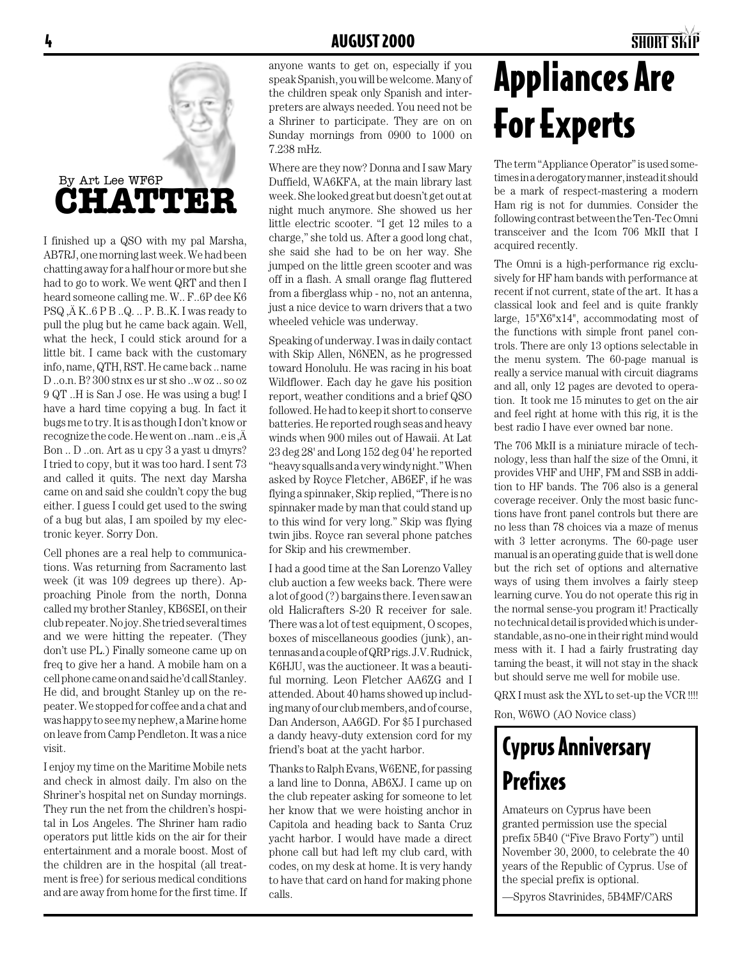

I finished up a QSO with my pal Marsha, AB7RJ, one morning last week. We had been chatting away for a half hour or more but she had to go to work. We went QRT and then I heard someone calling me. W.. F..6P dee K6  $PSQ$ ,  $\ddot{A}$  K... $6$  P B ... $Q$ ... P. B...K. I was ready to pull the plug but he came back again. Well, what the heck, I could stick around for a little bit. I came back with the customary info, name, QTH, RST. He came back .. name D ..o.n. B? 300 stnx es ur st sho ..w oz .. so oz 9 QT ..H is San J ose. He was using a bug! I have a hard time copying a bug. In fact it bugs me to try. It is as though I don't know or recognize the code. He went on ..nam ..e is  $\ddot{A}$ Bon .. D ..on. Art as u cpy 3 a yast u dmyrs? I tried to copy, but it was too hard. I sent 73 and called it quits. The next day Marsha came on and said she couldn't copy the bug either. I guess I could get used to the swing of a bug but alas, I am spoiled by my electronic keyer. Sorry Don.

Cell phones are a real help to communications. Was returning from Sacramento last week (it was 109 degrees up there). Approaching Pinole from the north, Donna called my brother Stanley, KB6SEI, on their club repeater. No joy. She tried several times and we were hitting the repeater. (They don't use PL.) Finally someone came up on freq to give her a hand. A mobile ham on a cell phone came on and said he'd call Stanley. He did, and brought Stanley up on the repeater. We stopped for coffee and a chat and was happy to see my nephew, a Marine home on leave from Camp Pendleton. It was a nice visit.

I enjoy my time on the Maritime Mobile nets and check in almost daily. I'm also on the Shriner's hospital net on Sunday mornings. They run the net from the children's hospital in Los Angeles. The Shriner ham radio operators put little kids on the air for their entertainment and a morale boost. Most of the children are in the hospital (all treatment is free) for serious medical conditions and are away from home for the first time. If

anyone wants to get on, especially if you speak Spanish, you will be welcome. Many of the children speak only Spanish and interpreters are always needed. You need not be a Shriner to participate. They are on on Sunday mornings from 0900 to 1000 on 7.238 mHz.

Where are they now? Donna and I saw Mary Duffield, WA6KFA, at the main library last week. She looked great but doesn't get out at night much anymore. She showed us her little electric scooter. "I get 12 miles to a charge," she told us. After a good long chat, she said she had to be on her way. She jumped on the little green scooter and was off in a flash. A small orange flag fluttered from a fiberglass whip - no, not an antenna, just a nice device to warn drivers that a two wheeled vehicle was underway.

Speaking of underway. I was in daily contact with Skip Allen, N6NEN, as he progressed toward Honolulu. He was racing in his boat Wildflower. Each day he gave his position report, weather conditions and a brief QSO followed. He had to keep it short to conserve batteries. He reported rough seas and heavy winds when 900 miles out of Hawaii. At Lat 23 deg 28' and Long 152 deg 04' he reported "heavy squalls and a very windy night." When asked by Royce Fletcher, AB6EF, if he was flying a spinnaker, Skip replied, "There is no spinnaker made by man that could stand up to this wind for very long." Skip was flying twin jibs. Royce ran several phone patches for Skip and his crewmember.

I had a good time at the San Lorenzo Valley club auction a few weeks back. There were a lot of good (?) bargains there. I even saw an old Halicrafters S-20 R receiver for sale. There was a lot of test equipment, O scopes, boxes of miscellaneous goodies (junk), antennas and a couple of QRP rigs. J.V. Rudnick, K6HJU, was the auctioneer. It was a beautiful morning. Leon Fletcher AA6ZG and I attended. About 40 hams showed up including many of our club members, and of course, Dan Anderson, AA6GD. For \$5 I purchased a dandy heavy-duty extension cord for my friend's boat at the yacht harbor.

Thanks to Ralph Evans, W6ENE, for passing a land line to Donna, AB6XJ. I came up on the club repeater asking for someone to let her know that we were hoisting anchor in Capitola and heading back to Santa Cruz yacht harbor. I would have made a direct phone call but had left my club card, with codes, on my desk at home. It is very handy to have that card on hand for making phone calls.

## Appliances Are For Experts

The term "Appliance Operator" is used sometimes in a derogatory manner, instead it should be a mark of respect-mastering a modern Ham rig is not for dummies. Consider the following contrast between the Ten-Tec Omni transceiver and the Icom 706 MkII that I acquired recently.

The Omni is a high-performance rig exclusively for HF ham bands with performance at recent if not current, state of the art. It has a classical look and feel and is quite frankly large, 15"X6"x14", accommodating most of the functions with simple front panel controls. There are only 13 options selectable in the menu system. The 60-page manual is really a service manual with circuit diagrams and all, only 12 pages are devoted to operation. It took me 15 minutes to get on the air and feel right at home with this rig, it is the best radio I have ever owned bar none.

The 706 MkII is a miniature miracle of technology, less than half the size of the Omni, it provides VHF and UHF, FM and SSB in addition to HF bands. The 706 also is a general coverage receiver. Only the most basic functions have front panel controls but there are no less than 78 choices via a maze of menus with 3 letter acronyms. The 60-page user manual is an operating guide that is well done but the rich set of options and alternative ways of using them involves a fairly steep learning curve. You do not operate this rig in the normal sense-you program it! Practically no technical detail is provided which is understandable, as no-one in their right mind would mess with it. I had a fairly frustrating day taming the beast, it will not stay in the shack but should serve me well for mobile use.

QRX I must ask the XYL to set-up the VCR !!!!

Ron, W6WO (AO Novice class)

### Cyprus Anniversary Prefixes

Amateurs on Cyprus have been granted permission use the special prefix 5B40 ("Five Bravo Forty") until November 30, 2000, to celebrate the 40 years of the Republic of Cyprus. Use of the special prefix is optional.

—Spyros Stavrinides, 5B4MF/CARS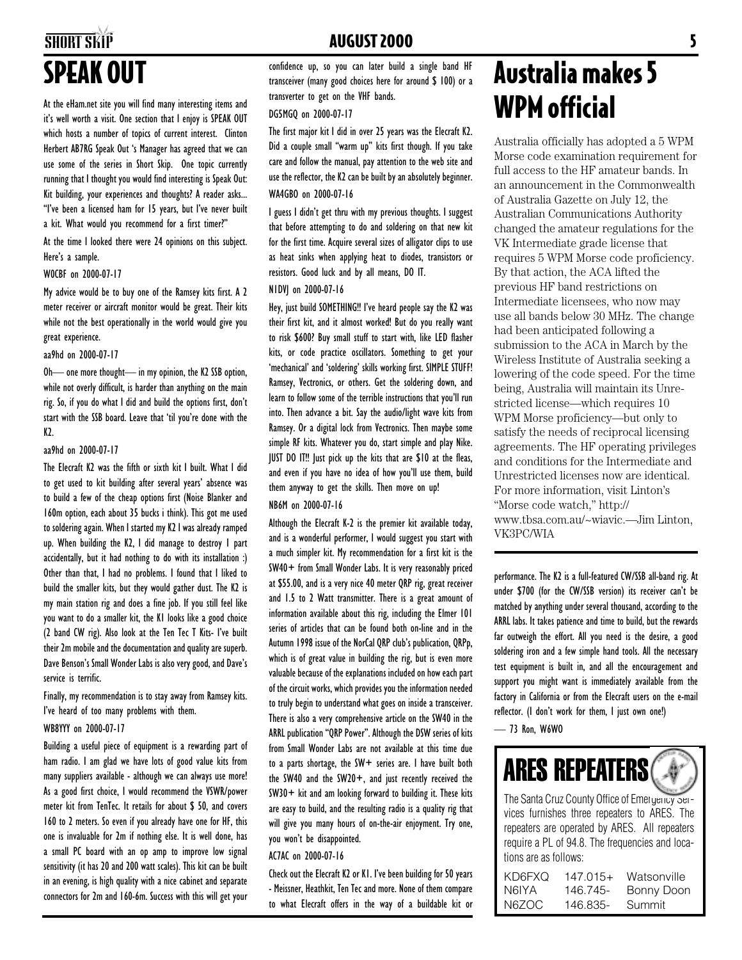### SHORT SKIP **SHORT SKIP** 5 SPEAK OUT

At the eHam.net site you will find many interesting items and it's well worth a visit. One section that I enjoy is SPEAK OUT which hosts a number of topics of current interest. Clinton Herbert AB7RG Speak Out 's Manager has agreed that we can use some of the series in Short Skip. One topic currently running that I thought you would find interesting is Speak Out: Kit building, your experiences and thoughts? A reader asks... "I've been a licensed ham for 15 years, but I've never built a kit. What would you recommend for a first timer?"

At the time I looked there were 24 opinions on this subject. Here's a sample.

#### W0CBF on 2000-07-17

My advice would be to buy one of the Ramsey kits first. A 2 meter receiver or aircraft monitor would be great. Their kits while not the best operationally in the world would give you great experience.

#### aa9hd on 2000-07-17

Oh— one more thought— in my opinion, the K2 SSB option, while not overly difficult, is harder than anything on the main rig. So, if you do what I did and build the options first, don't start with the SSB board. Leave that 'til you're done with the K<sub>2</sub>

### aa9hd on 2000-07-17

The Elecraft K2 was the fifth or sixth kit I built. What I did to get used to kit building after several years' absence was to build a few of the cheap options first (Noise Blanker and 160m option, each about 35 bucks i think). This got me used to soldering again. When I started my K2 I was already ramped up. When building the K2, I did manage to destroy 1 part accidentally, but it had nothing to do with its installation :) Other than that, I had no problems. I found that I liked to build the smaller kits, but they would gather dust. The K2 is my main station rig and does a fine job. If you still feel like you want to do a smaller kit, the K1 looks like a good choice (2 band CW rig). Also look at the Ten Tec T Kits- I've built their 2m mobile and the documentation and quality are superb. Dave Benson's Small Wonder Labs is also very good, and Dave's service is terrific.

Finally, my recommendation is to stay away from Ramsey kits. I've heard of too many problems with them.

### WB8YYY on 2000-07-17

Building a useful piece of equipment is a rewarding part of ham radio. I am glad we have lots of good value kits from many suppliers available - although we can always use more! As a good first choice, I would recommend the VSWR/power meter kit from TenTec. It retails for about \$ 50, and covers 160 to 2 meters. So even if you already have one for HF, this one is invaluable for 2m if nothing else. It is well done, has a small PC board with an op amp to improve low signal sensitivity (it has 20 and 200 watt scales). This kit can be built in an evening, is high quality with a nice cabinet and separate connectors for 2m and 160-6m. Success with this will get your

confidence up, so you can later build a single band HF transceiver (many good choices here for around \$ 100) or a transverter to get on the VHF bands.

#### DG5MGQ on 2000-07-17

The first major kit I did in over 25 years was the Elecraft K2. Did a couple small "warm up" kits first though. If you take care and follow the manual, pay attention to the web site and use the reflector, the K2 can be built by an absolutely beginner. WA4GBO on 2000-07-16

I guess I didn't get thru with my previous thoughts. I suggest that before attempting to do and soldering on that new kit for the first time. Acquire several sizes of alligator clips to use as heat sinks when applying heat to diodes, transistors or resistors. Good luck and by all means, DO IT.

### N1DVJ on 2000-07-16

Hey, just build SOMETHING!! I've heard people say the K2 was their first kit, and it almost worked! But do you really want to risk \$600? Buy small stuff to start with, like LED flasher kits, or code practice oscillators. Something to get your 'mechanical' and 'soldering' skills working first. SIMPLE STUFF! Ramsey, Vectronics, or others. Get the soldering down, and learn to follow some of the terrible instructions that you'll run into. Then advance a bit. Say the audio/light wave kits from Ramsey. Or a digital lock from Vectronics. Then maybe some simple RF kits. Whatever you do, start simple and play Nike. JUST DO IT!! Just pick up the kits that are \$10 at the fleas, and even if you have no idea of how you'll use them, build them anyway to get the skills. Then move on up!

### NB6M on 2000-07-16

Although the Elecraft K-2 is the premier kit available today, and is a wonderful performer, I would suggest you start with a much simpler kit. My recommendation for a first kit is the SW40+ from Small Wonder Labs. It is very reasonably priced at \$55.00, and is a very nice 40 meter QRP rig, great receiver and 1.5 to 2 Watt transmitter. There is a great amount of information available about this rig, including the Elmer 101 series of articles that can be found both on-line and in the Autumn 1998 issue of the NorCal QRP club's publication, QRPp, which is of great value in building the rig, but is even more valuable because of the explanations included on how each part of the circuit works, which provides you the information needed to truly begin to understand what goes on inside a transceiver. There is also a very comprehensive article on the SW40 in the ARRL publication "QRP Power". Although the DSW series of kits from Small Wonder Labs are not available at this time due to a parts shortage, the SW+ series are. I have built both the SW40 and the SW20+, and just recently received the SW30+ kit and am looking forward to building it. These kits are easy to build, and the resulting radio is a quality rig that will give you many hours of on-the-air enjoyment. Try one, you won't be disappointed.

#### AC7AC on 2000-07-16

Check out the Elecraft K2 or K1. I've been building for 50 years - Meissner, Heathkit, Ten Tec and more. None of them compare to what Elecraft offers in the way of a buildable kit or

### Australia makes 5 WPM official

Australia officially has adopted a 5 WPM Morse code examination requirement for full access to the HF amateur bands. In an announcement in the Commonwealth of Australia Gazette on July 12, the Australian Communications Authority changed the amateur regulations for the VK Intermediate grade license that requires 5 WPM Morse code proficiency. By that action, the ACA lifted the previous HF band restrictions on Intermediate licensees, who now may use all bands below 30 MHz. The change had been anticipated following a submission to the ACA in March by the Wireless Institute of Australia seeking a lowering of the code speed. For the time being, Australia will maintain its Unrestricted license—which requires 10 WPM Morse proficiency—but only to satisfy the needs of reciprocal licensing agreements. The HF operating privileges and conditions for the Intermediate and Unrestricted licenses now are identical. For more information, visit Linton's "Morse code watch," http:// www.tbsa.com.au/~wiavic.—Jim Linton, VK3PC/WIA

performance. The K2 is a full-featured CW/SSB all-band rig. At under \$700 (for the CW/SSB version) its receiver can't be matched by anything under several thousand, according to the ARRL labs. It takes patience and time to build, but the rewards far outweigh the effort. All you need is the desire, a good soldering iron and a few simple hand tools. All the necessary test equipment is built in, and all the encouragement and support you might want is immediately available from the factory in California or from the Elecraft users on the e-mail reflector. (I don't work for them, I just own one!)

— 73 Ron, W6WO



The Santa Cruz County Office of Emergency Services furnishes three repeaters to ARES. The repeaters are operated by ARES. All repeaters require a PL of 94.8. The frequencies and locations are as follows:

| KD6FXQ | $147.015+$ | Watsonville |
|--------|------------|-------------|
| N6IYA  | 146.745-   | Bonny Doon  |
| N6ZOC  | 146.835-   | Summit      |